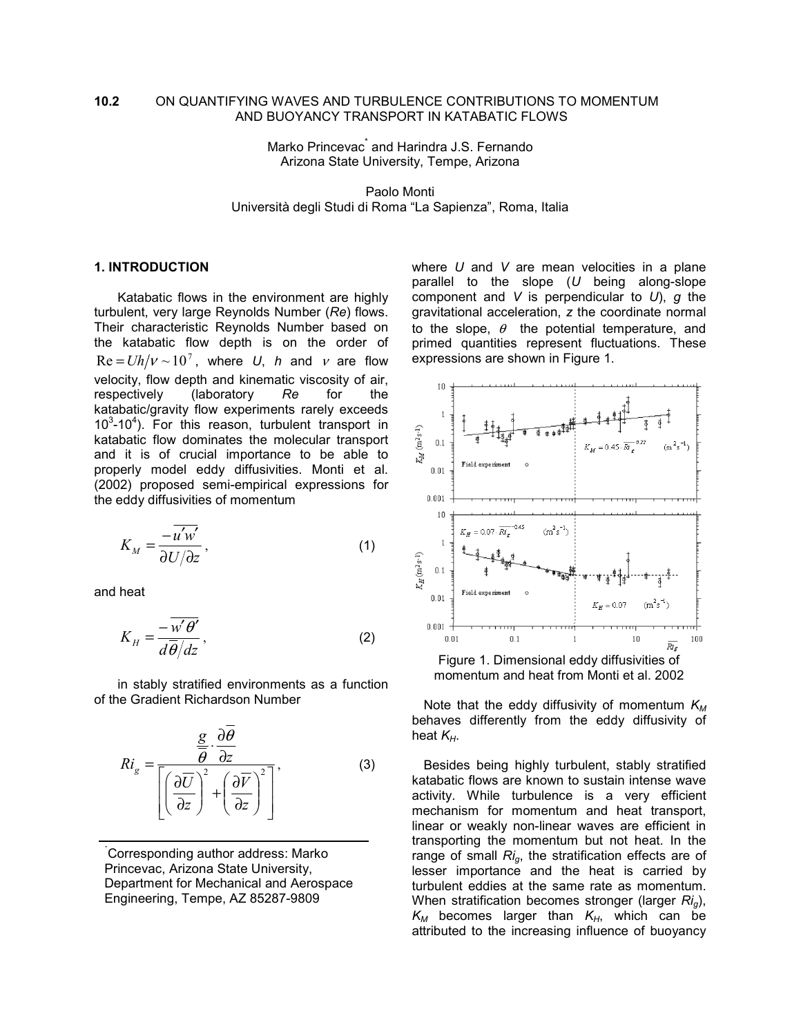## **10.2** ON QUANTIFYING WAVES AND TURBULENCE CONTRIBUTIONS TO MOMENTUM AND BUOYANCY TRANSPORT IN KATABATIC FLOWS

Marko Princevac<sup>\*</sup> and Harindra J.S. Fernando Arizona State University, Tempe, Arizona

Paolo Monti Università degli Studi di Roma "La Sapienza", Roma, Italia

# **1. INTRODUCTION**

Katabatic flows in the environment are highly turbulent, very large Reynolds Number (*Re*) flows. Their characteristic Reynolds Number based on the katabatic flow depth is on the order of  $Re = Uh/v \sim 10^7$ , where *U*, *h* and *v* are flow velocity, flow depth and kinematic viscosity of air, respectively (laboratory *Re* for the katabatic/gravity flow experiments rarely exceeds  $10<sup>3</sup>$ -10<sup>4</sup>). For this reason, turbulent transport in katabatic flow dominates the molecular transport and it is of crucial importance to be able to properly model eddy diffusivities. Monti et al. (2002) proposed semi-empirical expressions for the eddy diffusivities of momentum

$$
K_M = \frac{-\overline{u'w'}}{\partial U/\partial z},\tag{1}
$$

and heat

$$
K_H = \frac{-w'\theta'}{d\overline{\theta}/dz},\qquad(2)
$$

in stably stratified environments as a function of the Gradient Richardson Number

$$
Ri_g = \frac{\frac{g}{\theta} \cdot \frac{\partial \theta}{\partial z}}{\left[ \left( \frac{\partial \overline{U}}{\partial z} \right)^2 + \left( \frac{\partial \overline{V}}{\partial z} \right)^2 \right]},
$$
(3)

\* Corresponding author address: Marko Princevac, Arizona State University, Department for Mechanical and Aerospace Engineering, Tempe, AZ 85287-9809

where *U* and *V* are mean velocities in a plane parallel to the slope (*U* being along-slope component and *V* is perpendicular to *U*), *g* the gravitational acceleration, *z* the coordinate normal to the slope,  $\theta$  the potential temperature, and primed quantities represent fluctuations. These expressions are shown in Figure 1.



Note that the eddy diffusivity of momentum  $K_M$ behaves differently from the eddy diffusivity of heat  $K_H$ .

Besides being highly turbulent, stably stratified katabatic flows are known to sustain intense wave activity. While turbulence is a very efficient mechanism for momentum and heat transport, linear or weakly non-linear waves are efficient in transporting the momentum but not heat. In the range of small *Rig*, the stratification effects are of lesser importance and the heat is carried by turbulent eddies at the same rate as momentum. When stratification becomes stronger (larger *Rig*),  $K_M$  becomes larger than  $K_H$ , which can be attributed to the increasing influence of buoyancy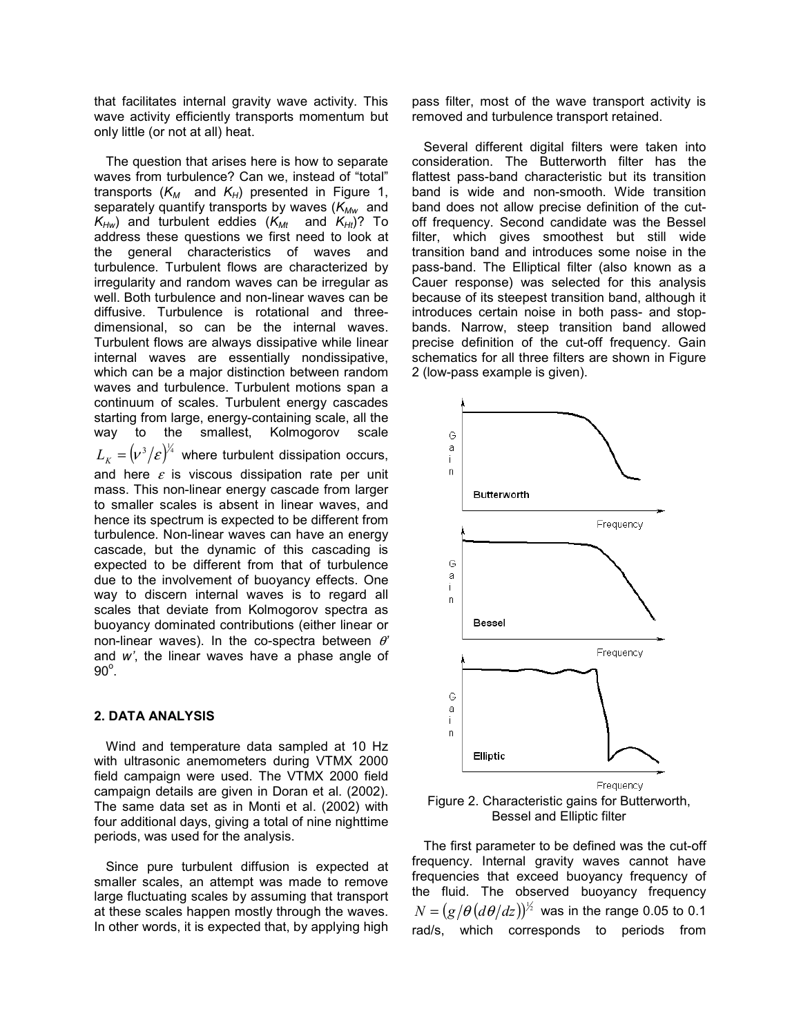that facilitates internal gravity wave activity. This wave activity efficiently transports momentum but only little (or not at all) heat.

The question that arises here is how to separate waves from turbulence? Can we, instead of "total" transports  $(K_M$  and  $K_H$ ) presented in Figure 1, separately quantify transports by waves ( $K_{Mw}$  and  $K_{Hw}$ ) and turbulent eddies ( $K_{Mt}$  and  $K_{Ht}$ )? To address these questions we first need to look at the general characteristics of waves and turbulence. Turbulent flows are characterized by irregularity and random waves can be irregular as well. Both turbulence and non-linear waves can be diffusive. Turbulence is rotational and threedimensional, so can be the internal waves. Turbulent flows are always dissipative while linear internal waves are essentially nondissipative, which can be a major distinction between random waves and turbulence. Turbulent motions span a continuum of scales. Turbulent energy cascades starting from large, energy-containing scale, all the way to the smallest, Kolmogorov scale  $L_K = (v^3/\varepsilon)^{\frac{1}{4}}$  where turbulent dissipation occurs, and here  $\varepsilon$  is viscous dissipation rate per unit mass. This non-linear energy cascade from larger to smaller scales is absent in linear waves, and hence its spectrum is expected to be different from turbulence. Non-linear waves can have an energy cascade, but the dynamic of this cascading is expected to be different from that of turbulence due to the involvement of buoyancy effects. One way to discern internal waves is to regard all scales that deviate from Kolmogorov spectra as buoyancy dominated contributions (either linear or non-linear waves). In the co-spectra between θ*'* and *w'*, the linear waves have a phase angle of  $90^\circ$ .

### **2. DATA ANALYSIS**

Wind and temperature data sampled at 10 Hz with ultrasonic anemometers during VTMX 2000 field campaign were used. The VTMX 2000 field campaign details are given in Doran et al. (2002). The same data set as in Monti et al. (2002) with four additional days, giving a total of nine nighttime periods, was used for the analysis.

Since pure turbulent diffusion is expected at smaller scales, an attempt was made to remove large fluctuating scales by assuming that transport at these scales happen mostly through the waves. In other words, it is expected that, by applying high

pass filter, most of the wave transport activity is removed and turbulence transport retained.

Several different digital filters were taken into consideration. The Butterworth filter has the flattest pass-band characteristic but its transition band is wide and non-smooth. Wide transition band does not allow precise definition of the cutoff frequency. Second candidate was the Bessel filter, which gives smoothest but still wide transition band and introduces some noise in the pass-band. The Elliptical filter (also known as a Cauer response) was selected for this analysis because of its steepest transition band, although it introduces certain noise in both pass- and stopbands. Narrow, steep transition band allowed precise definition of the cut-off frequency. Gain schematics for all three filters are shown in Figure 2 (low-pass example is given).





The first parameter to be defined was the cut-off frequency. Internal gravity waves cannot have frequencies that exceed buoyancy frequency of the fluid. The observed buoyancy frequency  $N = (g/\theta \, (d\theta/dz))^{\frac{1}{2}}$  was in the range 0.05 to 0.1 rad/s, which corresponds to periods from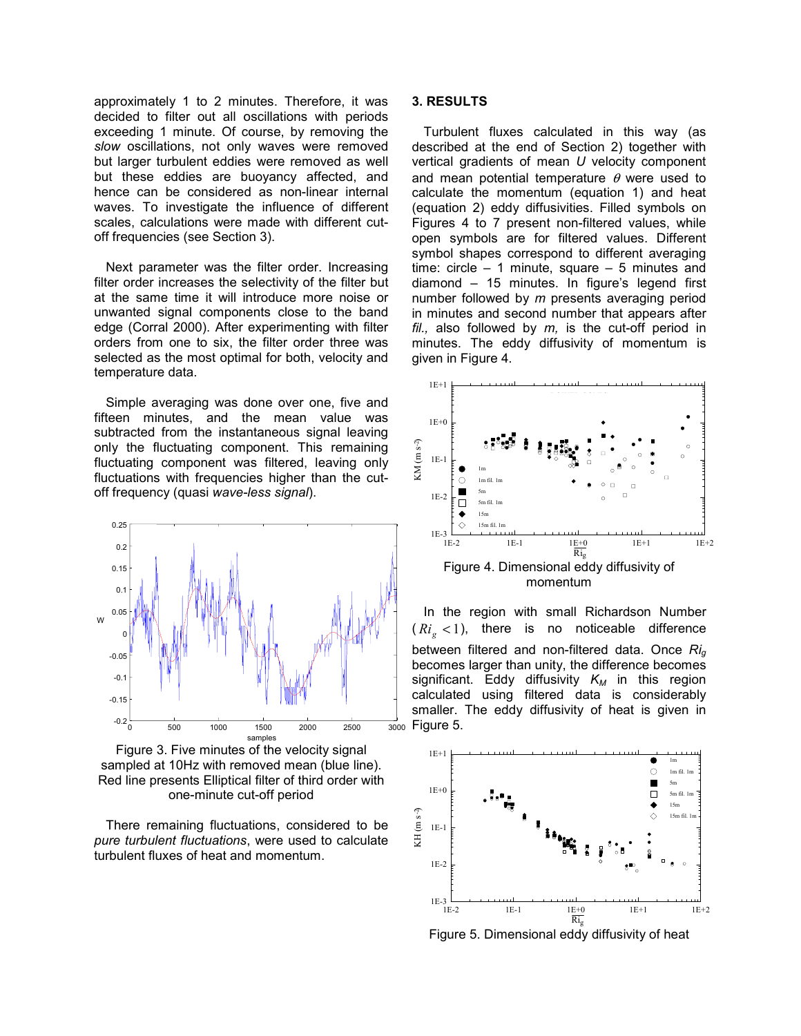approximately 1 to 2 minutes. Therefore, it was decided to filter out all oscillations with periods exceeding 1 minute. Of course, by removing the *slow* oscillations, not only waves were removed but larger turbulent eddies were removed as well but these eddies are buoyancy affected, and hence can be considered as non-linear internal waves. To investigate the influence of different scales, calculations were made with different cutoff frequencies (see Section 3).

Next parameter was the filter order. Increasing filter order increases the selectivity of the filter but at the same time it will introduce more noise or unwanted signal components close to the band edge (Corral 2000). After experimenting with filter orders from one to six, the filter order three was selected as the most optimal for both, velocity and temperature data.

Simple averaging was done over one, five and fifteen minutes, and the mean value was subtracted from the instantaneous signal leaving only the fluctuating component. This remaining fluctuating component was filtered, leaving only fluctuations with frequencies higher than the cutoff frequency (quasi *wave-less signal*).



Figure 3. Five minutes of the velocity signal sampled at 10Hz with removed mean (blue line). Red line presents Elliptical filter of third order with one-minute cut-off period

There remaining fluctuations, considered to be *pure turbulent fluctuations*, were used to calculate turbulent fluxes of heat and momentum.

## **3. RESULTS**

Turbulent fluxes calculated in this way (as described at the end of Section 2) together with vertical gradients of mean *U* velocity component and mean potential temperature  $\theta$  were used to calculate the momentum (equation 1) and heat (equation 2) eddy diffusivities. Filled symbols on Figures 4 to 7 present non-filtered values, while open symbols are for filtered values. Different symbol shapes correspond to different averaging time: circle – 1 minute, square – 5 minutes and diamond – 15 minutes. In figure's legend first number followed by *m* presents averaging period in minutes and second number that appears after *fil.,* also followed by *m,* is the cut-off period in minutes. The eddy diffusivity of momentum is given in Figure 4.



momentum

In the region with small Richardson Number  $(Ri_{\circ} < 1)$ , there is no noticeable difference between filtered and non-filtered data. Once *Rig* becomes larger than unity, the difference becomes significant. Eddy diffusivity  $K_M$  in this region calculated using filtered data is considerably smaller. The eddy diffusivity of heat is given in  $\frac{1}{3000}$  Figure 5.



Figure 5. Dimensional eddy diffusivity of heat